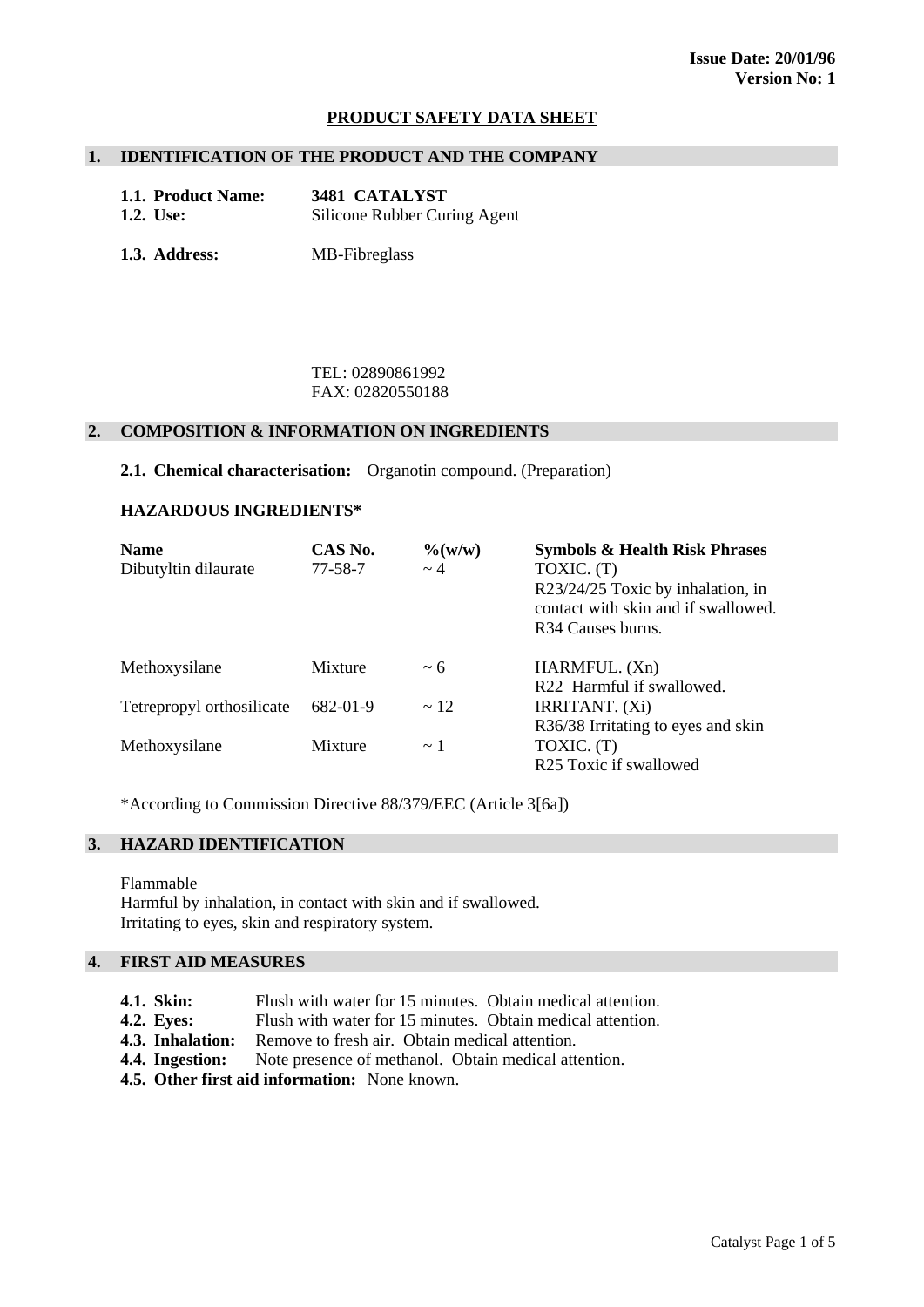## **PRODUCT SAFETY DATA SHEET**

#### **1. IDENTIFICATION OF THE PRODUCT AND THE COMPANY**

| 1.1. Product Name: | 3481 CATALYST                |
|--------------------|------------------------------|
| <b>1.2.</b> Use:   | Silicone Rubber Curing Agent |

**1.3. Address:** MB-Fibreglass

 TEL: 02890861992 FAX: 02820550188

#### **2. COMPOSITION & INFORMATION ON INGREDIENTS**

**2.1. Chemical characterisation:** Organotin compound. (Preparation)

#### **HAZARDOUS INGREDIENTS\***

| <b>Name</b><br>Dibutyltin dilaurate | CAS No.<br>$77 - 58 - 7$ | $\% (w/w)$<br>$\sim$ 4 | <b>Symbols &amp; Health Risk Phrases</b><br>TOXIC. (T)<br>R23/24/25 Toxic by inhalation, in<br>contact with skin and if swallowed.<br>R <sub>34</sub> Causes burns. |
|-------------------------------------|--------------------------|------------------------|---------------------------------------------------------------------------------------------------------------------------------------------------------------------|
| Methoxysilane                       | Mixture                  | $~\sim 6$              | HARMFUL. (Xn)<br>R22 Harmful if swallowed.                                                                                                                          |
| Tetrepropyl orthosilicate           | 682-01-9                 | $\sim$ 12              | <b>IRRITANT.</b> (Xi)<br>R36/38 Irritating to eyes and skin                                                                                                         |
| Methoxysilane                       | Mixture                  | $\sim$ 1               | TOXIC. (T)<br>R25 Toxic if swallowed                                                                                                                                |

\*According to Commission Directive 88/379/EEC (Article 3[6a])

# **3. HAZARD IDENTIFICATION**

Flammable Harmful by inhalation, in contact with skin and if swallowed. Irritating to eyes, skin and respiratory system.

## **4. FIRST AID MEASURES**

- **4.1. Skin:** Flush with water for 15 minutes. Obtain medical attention.
- **4.2. Eyes:** Flush with water for 15 minutes. Obtain medical attention.
- **4.3. Inhalation:** Remove to fresh air. Obtain medical attention.
- **4.4. Ingestion:** Note presence of methanol. Obtain medical attention.
- **4.5. Other first aid information:** None known.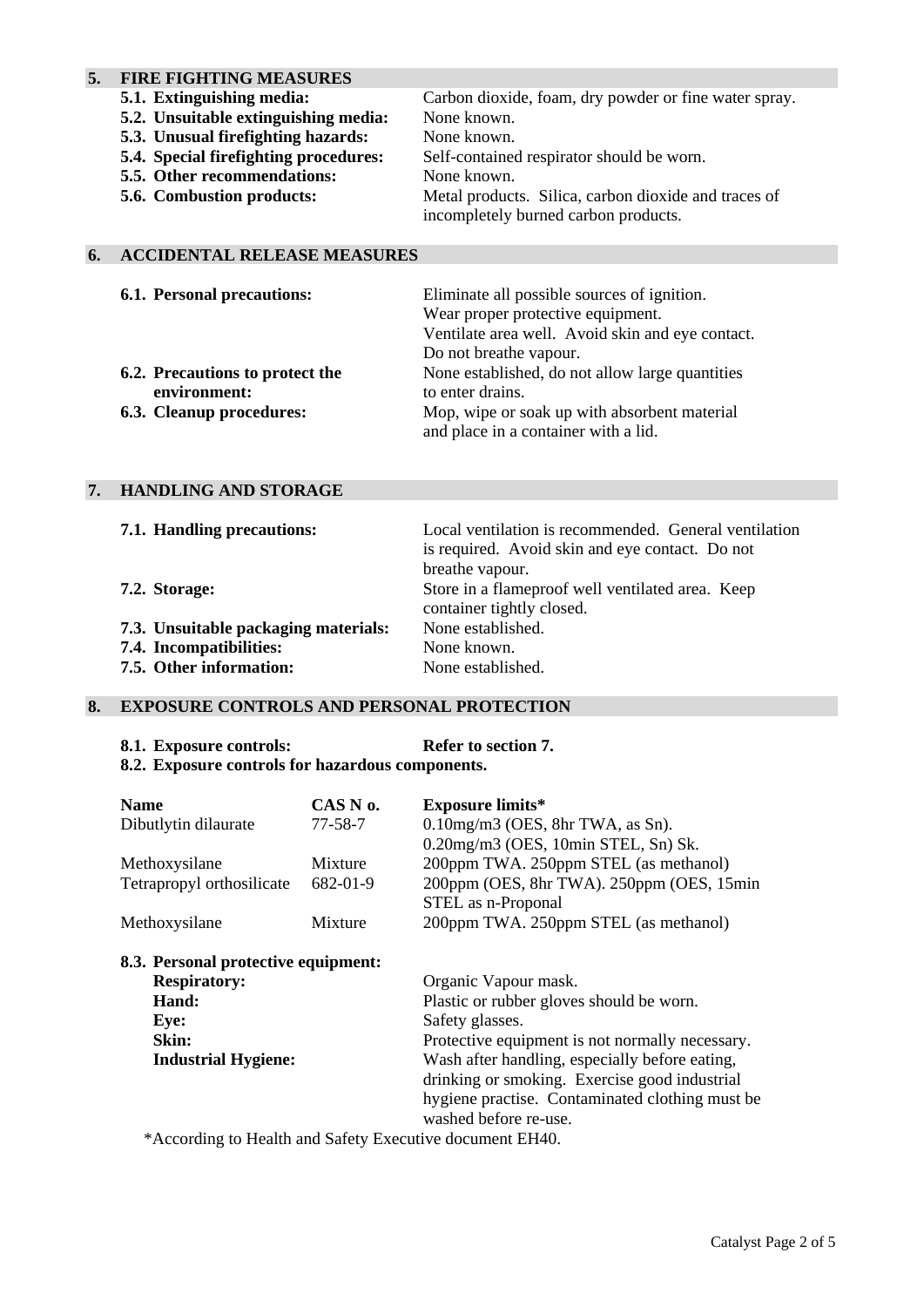# **5. FIRE FIGHTING MEASURES**

| 5.1. Extinguishing media:             | Carbon dioxide, foam, dry powder or fine water spray. |
|---------------------------------------|-------------------------------------------------------|
| 5.2. Unsuitable extinguishing media:  | None known.                                           |
| 5.3. Unusual firefighting hazards:    | None known.                                           |
| 5.4. Special firefighting procedures: | Self-contained respirator should be worn.             |
| 5.5. Other recommendations:           | None known.                                           |
| <b>5.6. Combustion products:</b>      | Metal products. Silica, carbon dioxide and traces of  |
|                                       | incompletely burned carbon products.                  |
|                                       |                                                       |

# **6. ACCIDENTAL RELEASE MEASURES**

| <b>6.1. Personal precautions:</b> | Eliminate all possible sources of ignition.      |
|-----------------------------------|--------------------------------------------------|
|                                   | Wear proper protective equipment.                |
|                                   | Ventilate area well. Avoid skin and eye contact. |
|                                   | Do not breathe vapour.                           |
| 6.2. Precautions to protect the   | None established, do not allow large quantities  |
| environment:                      | to enter drains.                                 |
| <b>6.3. Cleanup procedures:</b>   | Mop, wipe or soak up with absorbent material     |
|                                   | and place in a container with a lid.             |

# **7. HANDLING AND STORAGE**

| 7.1. Handling precautions:           | Local ventilation is recommended. General ventilation                         |
|--------------------------------------|-------------------------------------------------------------------------------|
|                                      | is required. Avoid skin and eye contact. Do not                               |
|                                      | breathe vapour.                                                               |
| 7.2. Storage:                        | Store in a flameproof well ventilated area. Keep<br>container tightly closed. |
| 7.3. Unsuitable packaging materials: | None established.                                                             |
| 7.4. Incompatibilities:              | None known.                                                                   |
| 7.5. Other information:              | None established.                                                             |

# **8. EXPOSURE CONTROLS AND PERSONAL PROTECTION**

#### 8.1. Exposure controls: Refer to section 7.

**8.2. Exposure controls for hazardous components.** 

| <b>Name</b>                         | CAS N o.      | <b>Exposure limits*</b>                         |
|-------------------------------------|---------------|-------------------------------------------------|
| Dibutlytin dilaurate                | $77 - 58 - 7$ | $0.10$ mg/m $3$ (OES, 8hr TWA, as Sn).          |
|                                     |               | 0.20mg/m3 (OES, 10min STEL, Sn) Sk.             |
| Methoxysilane                       | Mixture       | 200ppm TWA. 250ppm STEL (as methanol)           |
| Tetrapropyl orthosilicate           | 682-01-9      | 200ppm (OES, 8hr TWA). 250ppm (OES, 15min       |
|                                     |               | STEL as n-Proponal                              |
| Methoxysilane                       | Mixture       | 200ppm TWA. 250ppm STEL (as methanol)           |
| 8.3. Personal protective equipment: |               |                                                 |
| <b>Respiratory:</b>                 |               | Organic Vapour mask.                            |
| Hand:                               |               | Plastic or rubber gloves should be worn.        |
| Eye:                                |               | Safety glasses.                                 |
| Skin:                               |               | Protective equipment is not normally necessary. |
| <b>Industrial Hygiene:</b>          |               | Wash after handling, especially before eating,  |
|                                     |               | drinking or smoking. Exercise good industrial   |
|                                     |               | hygiene practise. Contaminated clothing must be |
|                                     |               | washed before re-use.                           |

\*According to Health and Safety Executive document EH40.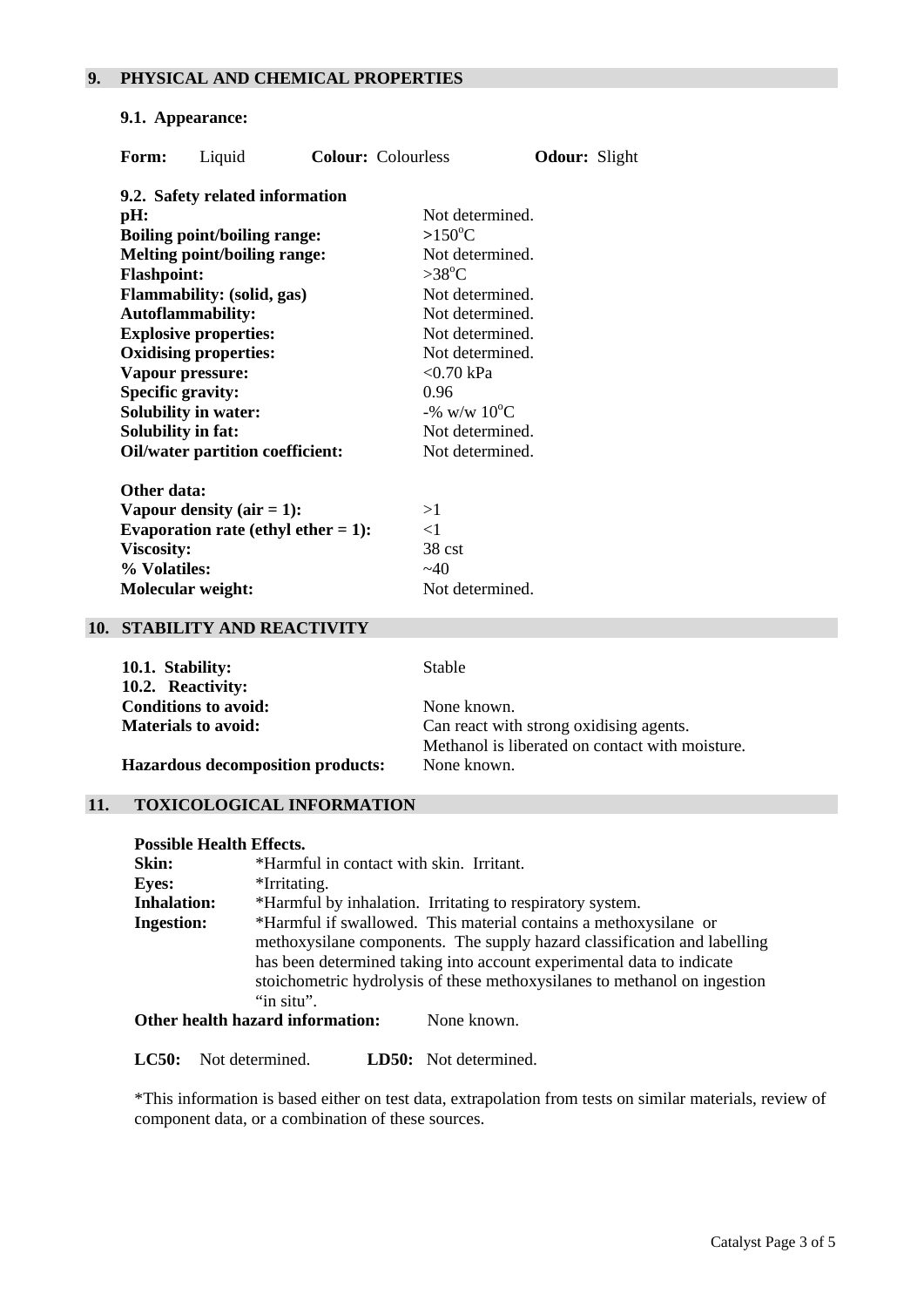## **9. PHYSICAL AND CHEMICAL PROPERTIES**

#### **9.1. Appearance:**

| Form:                     | Liquid                                  |                                        | <b>Colour:</b> Colourless | <b>Odour:</b> Slight |  |
|---------------------------|-----------------------------------------|----------------------------------------|---------------------------|----------------------|--|
|                           | 9.2. Safety related information         |                                        |                           |                      |  |
| pH:                       |                                         |                                        | Not determined.           |                      |  |
|                           | <b>Boiling point/boiling range:</b>     |                                        | $>150^{\circ}$ C          |                      |  |
|                           | <b>Melting point/boiling range:</b>     |                                        | Not determined.           |                      |  |
| <b>Flashpoint:</b>        |                                         |                                        | $>38^{\circ}C$            |                      |  |
|                           | Flammability: (solid, gas)              |                                        | Not determined.           |                      |  |
|                           | <b>Autoflammability:</b>                |                                        | Not determined.           |                      |  |
|                           | <b>Explosive properties:</b>            |                                        | Not determined.           |                      |  |
|                           | <b>Oxidising properties:</b>            |                                        | Not determined.           |                      |  |
|                           | Vapour pressure:                        |                                        | $<$ 0.70 kPa              |                      |  |
| <b>Specific gravity:</b>  |                                         |                                        | 0.96                      |                      |  |
|                           | <b>Solubility in water:</b>             |                                        | -% w/w $10^{\circ}C$      |                      |  |
| <b>Solubility in fat:</b> |                                         |                                        | Not determined.           |                      |  |
|                           | <b>Oil/water partition coefficient:</b> |                                        | Not determined.           |                      |  |
| Other data:               |                                         |                                        |                           |                      |  |
|                           | Vapour density $(air = 1)$ :            |                                        | >1                        |                      |  |
|                           |                                         | Evaporation rate (ethyl ether $= 1$ ): | $<$ 1                     |                      |  |
| <b>Viscosity:</b>         |                                         |                                        | 38 cst                    |                      |  |
| % Volatiles:              |                                         |                                        | ~140                      |                      |  |

**Molecular weight:** Not determined.

## **10. STABILITY AND REACTIVITY**

| 10.1. Stability:<br>10.2. Reactivity:                     | <b>Stable</b>                                                                                             |
|-----------------------------------------------------------|-----------------------------------------------------------------------------------------------------------|
| <b>Conditions to avoid:</b><br><b>Materials to avoid:</b> | None known.<br>Can react with strong oxidising agents.<br>Methanol is liberated on contact with moisture. |
| <b>Hazardous decomposition products:</b>                  | None known.                                                                                               |

#### **11. TOXICOLOGICAL INFORMATION**

# **Possible Health Effects.**

| <b>Skin:</b>       | *Harmful in contact with skin. Irritant.                                  |  |  |
|--------------------|---------------------------------------------------------------------------|--|--|
| <b>Eyes:</b>       | *Irritating.                                                              |  |  |
| <b>Inhalation:</b> | *Harmful by inhalation. Irritating to respiratory system.                 |  |  |
| <b>Ingestion:</b>  | *Harmful if swallowed. This material contains a methoxysilane or          |  |  |
|                    | methoxysilane components. The supply hazard classification and labelling  |  |  |
|                    | has been determined taking into account experimental data to indicate     |  |  |
|                    | stoichometric hydrolysis of these methoxysilanes to methanol on ingestion |  |  |
|                    | "in situ".                                                                |  |  |
|                    |                                                                           |  |  |

**Other health hazard information:** None known.

**LC50:** Not determined. **LD50:** Not determined.

\*This information is based either on test data, extrapolation from tests on similar materials, review of component data, or a combination of these sources.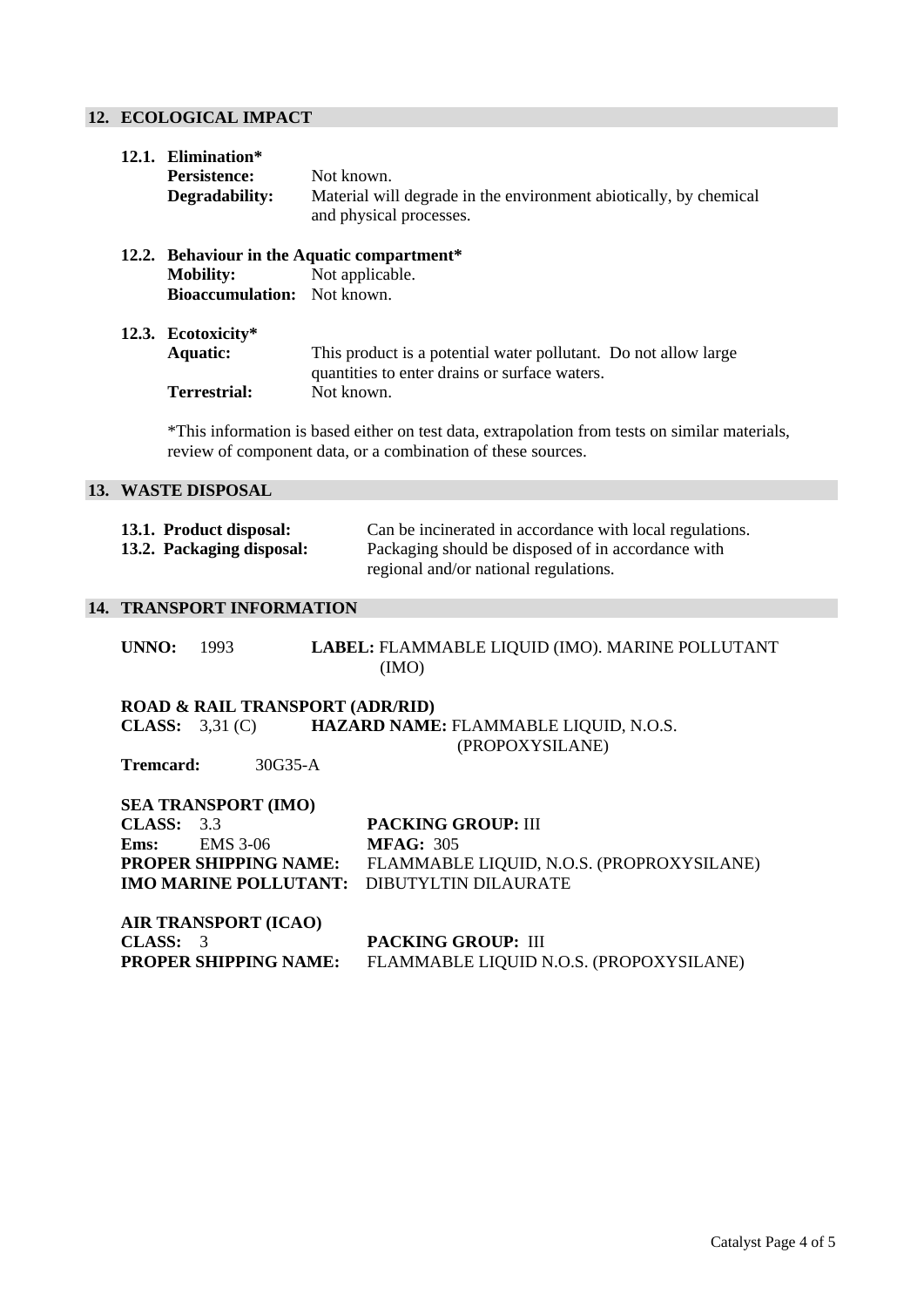# **12. ECOLOGICAL IMPACT**

| 12.1. Elimination*                 |                                                                                                                  |  |  |
|------------------------------------|------------------------------------------------------------------------------------------------------------------|--|--|
| <b>Persistence:</b>                | Not known.                                                                                                       |  |  |
| Degradability:                     | Material will degrade in the environment abiotically, by chemical<br>and physical processes.                     |  |  |
|                                    | 12.2. Behaviour in the Aquatic compartment*                                                                      |  |  |
| <b>Mobility:</b>                   | Not applicable.                                                                                                  |  |  |
| <b>Bioaccumulation:</b> Not known. |                                                                                                                  |  |  |
| 12.3. Ecotoxicity*                 |                                                                                                                  |  |  |
| Aquatic:                           | This product is a potential water pollutant. Do not allow large<br>quantities to enter drains or surface waters. |  |  |
| Terrestrial:                       | Not known.                                                                                                       |  |  |
|                                    | *This information is based either on test data, extrapolation from tests on similar materials,                   |  |  |

review of component data, or a combination of these sources.

## **13. WASTE DISPOSAL**

| 13.1. Product disposal:   | Can be incinerated in accordance with local regulations. |
|---------------------------|----------------------------------------------------------|
| 13.2. Packaging disposal: | Packaging should be disposed of in accordance with       |
|                           | regional and/or national regulations.                    |

#### **14. TRANSPORT INFORMATION**

**UNNO:** 1993 **LABEL:** FLAMMABLE LIQUID (IMO). MARINE POLLUTANT (IMO)

**ROAD & RAIL TRANSPORT (ADR/RID) CLASS:** 3,31 (C) **HAZARD NAME:** FLAMMABLE LIQUID, N.O.S. (PROPOXYSILANE)

**Tremcard:** 30G35-A

| <b>SEA TRANSPORT (IMO)</b> |                      |                                                                        |  |
|----------------------------|----------------------|------------------------------------------------------------------------|--|
| CLASS: 3.3                 |                      | <b>PACKING GROUP: III</b>                                              |  |
|                            | <b>Ems:</b> EMS 3-06 | <b>MFAG</b> : 305                                                      |  |
|                            |                      | <b>PROPER SHIPPING NAME:</b> FLAMMABLE LIQUID, N.O.S. (PROPROXYSILANE) |  |
|                            |                      | <b>IMO MARINE POLLUTANT: DIBUTYLTIN DILAURATE</b>                      |  |
|                            |                      |                                                                        |  |

**AIR TRANSPORT (ICAO) CLASS: 3 PACKING GROUP: III**<br>**PROPER SHIPPING NAME:** FLAMMABLE LIQUID N FLAMMABLE LIQUID N.O.S. (PROPOXYSILANE)